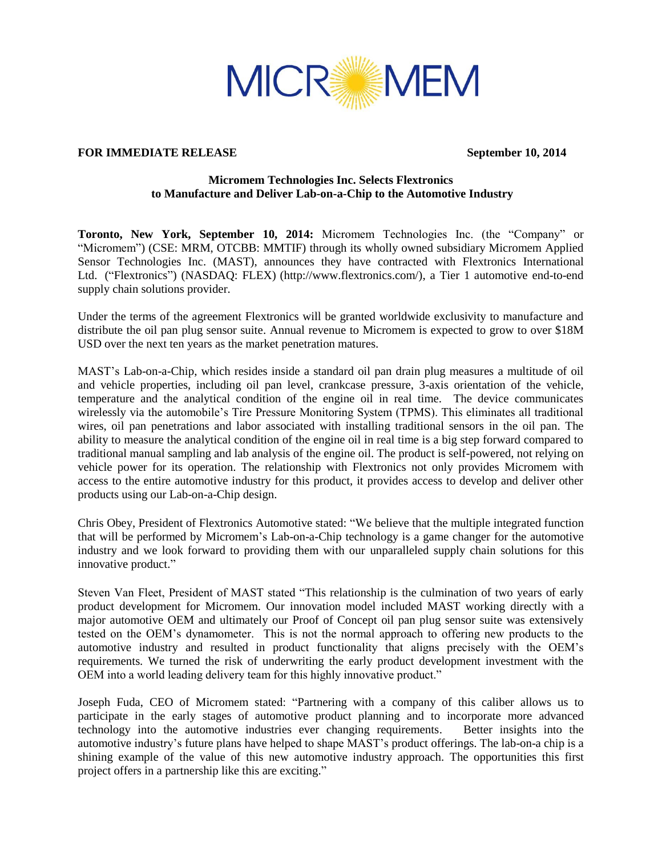

## **FOR IMMEDIATE RELEASE September 10, 2014**

# **Micromem Technologies Inc. Selects Flextronics to Manufacture and Deliver Lab-on-a-Chip to the Automotive Industry**

**Toronto, New York, September 10, 2014:** Micromem Technologies Inc. (the "Company" or "Micromem") (CSE: MRM, OTCBB: MMTIF) through its wholly owned subsidiary Micromem Applied Sensor Technologies Inc. (MAST), announces they have contracted with Flextronics International Ltd. ("Flextronics") (NASDAQ: FLEX) (http://www.flextronics.com/), a Tier 1 automotive end-to-end supply chain solutions provider.

Under the terms of the agreement Flextronics will be granted worldwide exclusivity to manufacture and distribute the oil pan plug sensor suite. Annual revenue to Micromem is expected to grow to over \$18M USD over the next ten years as the market penetration matures.

MAST's Lab-on-a-Chip, which resides inside a standard oil pan drain plug measures a multitude of oil and vehicle properties, including oil pan level, crankcase pressure, 3-axis orientation of the vehicle, temperature and the analytical condition of the engine oil in real time. The device communicates wirelessly via the automobile's Tire Pressure Monitoring System (TPMS). This eliminates all traditional wires, oil pan penetrations and labor associated with installing traditional sensors in the oil pan. The ability to measure the analytical condition of the engine oil in real time is a big step forward compared to traditional manual sampling and lab analysis of the engine oil. The product is self-powered, not relying on vehicle power for its operation. The relationship with Flextronics not only provides Micromem with access to the entire automotive industry for this product, it provides access to develop and deliver other products using our Lab-on-a-Chip design.

Chris Obey, President of Flextronics Automotive stated: "We believe that the multiple integrated function that will be performed by Micromem's Lab-on-a-Chip technology is a game changer for the automotive industry and we look forward to providing them with our unparalleled supply chain solutions for this innovative product."

Steven Van Fleet, President of MAST stated "This relationship is the culmination of two years of early product development for Micromem. Our innovation model included MAST working directly with a major automotive OEM and ultimately our Proof of Concept oil pan plug sensor suite was extensively tested on the OEM's dynamometer. This is not the normal approach to offering new products to the automotive industry and resulted in product functionality that aligns precisely with the OEM's requirements. We turned the risk of underwriting the early product development investment with the OEM into a world leading delivery team for this highly innovative product."

Joseph Fuda, CEO of Micromem stated: "Partnering with a company of this caliber allows us to participate in the early stages of automotive product planning and to incorporate more advanced technology into the automotive industries ever changing requirements. Better insights into the automotive industry's future plans have helped to shape MAST's product offerings. The lab-on-a chip is a shining example of the value of this new automotive industry approach. The opportunities this first project offers in a partnership like this are exciting."